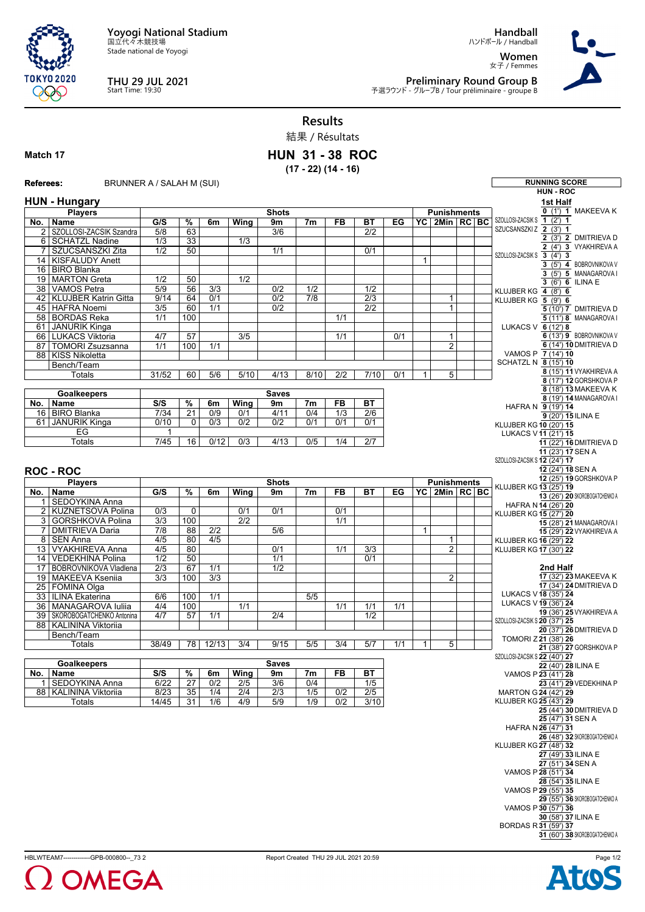**Yoyogi National Stadium** 国立代々木競技場

Stade national de Yoyogi



## **THU 29 JUL 2021** Start Time: 19:30

**Handball** ハンドボール / Handball

**Women** 女子 / Femmes



**Preliminary Round Group B**<br>予選ラウンド - グループB / Tour préliminaire - groupe B

## **Results**

結果 / Résultats

## **Match 17**

**HUN 31 - 38 ROC (17 - 22) (14 - 16)**

**Referees:** BRUNNER A / SALAH M (SUI) **RUNNING SCORE HUN - ROC HUN - Hungary Players No. Name Shots G/S % 6m Wing 9m 7m FB BT EG Punishments YC 2Min RC BC** 2 SZOLLOSI-ZACSIK Szandra 5/8 63 3/6 2/2 6 SCHATZL Nadine 1/3 33 1/3 | 7 | | SZUCSANSZKI Zita | 1/2 | 50 | 1 | 1/1 | 1/1 | 10/1 14 KISFALUDY Anett 1 16 BIRO Blanka 19 MARTON Greta 1/2 50 1/2 38 VAMOS Petra 5/9 56 3/3 0/2 1/2 1/2 42 KLUJBER Katrin Gitta | 9/14 | 64 | 0/1 | 0/2 | 7/8 | 2/3 | 1 | 1 45 HAFRA Noemi 3/5 60 1/1 0/2 2/2 1 58 BORDAS Reka 1/1 100 1 1 1/1 1/1 61 JANURIK Kinga<br>66 LUKACS Viktori 66 LUKACS Viktoria 4/7 57 3/5 1/1 0/1 1 87 TOMORI Zsuzsanna 1/1 100 1/1 2 88 KISS Nikoletta Bench/Team Totals | 31/52 | 60 | 5/6 | 5/10 | 4/13 | 8/10 | 2/2 | 7/10 | 0/1 | 1 | 5 **Goalkeepers No. Name Saves S/S % 6m Wing 9m 7m FB BT** 16 BIRO Blanka 61 JANURIK Kinga 0/10 0 0/3 0/2 0/2 0/1 0/1 0/1 EG Totals 7/45 16 0/12 0/3 4/13 0/5 1/4 2/7 **ROC - ROC Players No. Name Shots G/S % 6m Wing 9m 7m FB BT EG Punishments YC 2Min RC BC** SEDOYKINA Anna 2 KUZNETSOVA Polina 0/3 0 0/1 0/1 0/1 3 GORSHKOVA Polina 3/3 100 2/2 100 1/1 7 DMITRIEVA Daria 7/8 88 2/2 5/6 1 | 8 | SEN Anna | 4/5 | 80 | 4/5 | 1 | | | | | | | 1 13 VYAKHIREVA Anna | 4/5 | 80 | 0/1 | 1/1 | 3/3 | 2 14 VEDEKHINA Polina | 1/2 | 50 | 1/1 | 1/1 | 0/1 17 BOBROVNIKOVA Vladlena 2/3 67 1/1 1/2 19 MAKEEVA Kseniia 2002 320 100 2003 2004 2014 2020 2021 2022 2023 2021 2022 2023 2022 2023 2024 2022 2023 202 25 FOMINA Olga<br>33 ILINA Ekaterin<br>36 MANAGAROV 33 ILINA Ekaterina 6/6 100 1/1 5/5 36 MANAGAROVA Iuliia 4/4 100 1/1 1/1 1/1 1/1 39 SKOROBOGATCHENKO Antonina 4/7 57 1/1 2/4 2/4 1/2 88 KALININA Viktoriia Bench/Team Totals 38/49 78 12/13 3/4 9/15 5/5 3/4 5/7 1/1 1 5 **Goalkeepers No. Name Saves S/S % 6m Wing 9m 7m FB BT** 1 SEDOYKINA Anna 6/22 27 0/2 2/5 3/6 0/4 1/5 88 KALININA Viktoriia 8/23 35 1/4 2/4 2/3 1/5 0/2 2/5 Totals 14/45 31 1/6 4/9 5/9 1/9 0/2 3/10 **1st Half 0** (1') **1**MAKEEVA K SZOLLOSI-ZACSIK S **1** (2') **1** SZUCSANSZKI Z **2** (3') **1**  $2(3')$  **2** DMITRIEVA D  $\frac{2}{2}$  (4') **3** VYAKHIREVA A SZOLLOSI-ZACSIK S **3** (4') **3**  $\overline{3}$  (5')  $\overline{4}$  BOBROVNIKOVA V **3** (5') **5** MANAGAROVA I **3** (6') **6** ILINA E KLUJBER KG **4** (8') **6** KLUJBER KG **5** (9') **6 5** (10') **7** DMITRIEVA D **5** (11') **8** MANAGAROVA I LUKACS V **6** (12') **8 6** (13') **9** BOBROVNIKOVA V **6** (14') **10** DMITRIEVA D VAMOS P **7** (14') **10** SCHATZL N **8** (15') **10 8** (15') **11** VYAKHIREVA A **8** (17') **12** GORSHKOVA P **8** (18') **13** MAKEEVA K **8** (19') **14** MANAGAROVA I HAFRA N **9** (19') **14 9** (20') **15** ILINA E KLUJBER KG **10** (20') **15** LUKACS V**11** (21') **15 11** (22') **16** DMITRIEVA D **11** (23') **17**SEN A SZOLLOSI-ZACSIK S **12** (24') **17 12** (24') **18**SEN A **12** (25') **19** GORSHKOVA P KLUJBER KG **13** (25') **19 13** (26') **20** SKOROBOGATCHENKO A HAFRA N **14** (26') **20** KLUJBER KG **15** (27') **20 15** (28') **21** MANAGAROVA I **15** (29') **22** VYAKHIREVA A KLUJBER KG **16** (29') **22** KLUJBER KG **17** (30') **22 2nd Half 17** (32') **23** MAKEEVA K **17** (34') **24** DMITRIEVA D LUKACS V**18** (35') **24** LUKACS V**19** (36') **24 19** (36') **25** VYAKHIREVA A SZOLLOSI-ZACSIK S **20** (37') **25 20** (37') **26** DMITRIEVA D TOMORI Z **21** (38') **26 21** (38') **27** GORSHKOVA P SZOLLOSI-ZACSIK S **22** (40') **27 22** (40') **28** ILINA E VAMOS P**23** (41') **28 23** (41') **29** VEDEKHINA P MARTON G **24** (42') **29** KLUJBER KG **25** (43') **29 25** (44') **30** DMITRIEVA D **25** (47') **31**SEN A HAFRA N **26** (47') **31 26** (48') **32** SKOROBOGATCHENKO A KLUJBER KG **27** (48') **32 27** (49') **33** ILINA E **27** (51') **34**SEN A VAMOS P**28** (51') **34 28** (54') **35** ILINA E VAMOS P**29** (55') **35 29** (55') **36** SKOROBOGATCHENKO A VAMOS P**30** (57') **36 30** (58') **37** ILINA E BORDAS R **31** (59') **37 31** (60') **38** SKOROBOGATCHENKO A